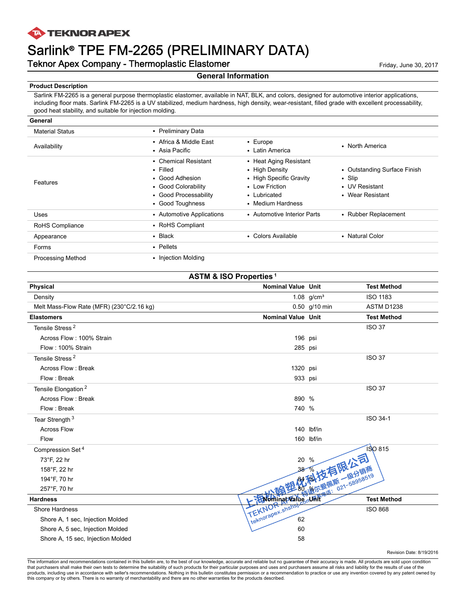## **TA TEKNOR APEX**

# Sarlink® TPE FM-2265 (PRELIMINARY DATA)

# Teknor Apex Company - Thermoplastic Elastomer Friday, June 30, 2017

#### **General Information**

#### **Product Description**

Sarlink FM-2265 is a general purpose thermoplastic elastomer, available in NAT, BLK, and colors, designed for automotive interior applications, including floor mats. Sarlink FM-2265 is a UV stabilized, medium hardness, high density, wear-resistant, filled grade with excellent processability, good heat stability, and suitable for injection molding.

| General                  |                                                                                                                               |                                                                                                                            |                                                                                    |
|--------------------------|-------------------------------------------------------------------------------------------------------------------------------|----------------------------------------------------------------------------------------------------------------------------|------------------------------------------------------------------------------------|
| <b>Material Status</b>   | • Preliminary Data                                                                                                            |                                                                                                                            |                                                                                    |
| Availability             | • Africa & Middle East<br>• Asia Pacific                                                                                      | $\cdot$ Europe<br>• Latin America                                                                                          | • North America                                                                    |
| Features                 | • Chemical Resistant<br>$\cdot$ Filled<br>• Good Adhesion<br>• Good Colorability<br>• Good Processability<br>• Good Toughness | • Heat Aging Resistant<br>• High Density<br>• High Specific Gravity<br>• Low Friction<br>• Lubricated<br>• Medium Hardness | • Outstanding Surface Finish<br>$\cdot$ Slip<br>• UV Resistant<br>• Wear Resistant |
| Uses                     | • Automotive Applications                                                                                                     | • Automotive Interior Parts                                                                                                | • Rubber Replacement                                                               |
| RoHS Compliance          | • RoHS Compliant                                                                                                              |                                                                                                                            |                                                                                    |
| Appearance               | $\cdot$ Black                                                                                                                 | • Colors Available                                                                                                         | • Natural Color                                                                    |
| Forms                    | • Pellets                                                                                                                     |                                                                                                                            |                                                                                    |
| <b>Processing Method</b> | • Injection Molding                                                                                                           |                                                                                                                            |                                                                                    |

| <b>ASTM &amp; ISO Properties<sup>1</sup></b> |                             |                 |                         |  |
|----------------------------------------------|-----------------------------|-----------------|-------------------------|--|
| Physical                                     | <b>Nominal Value Unit</b>   |                 | <b>Test Method</b>      |  |
| Density                                      |                             | 1.08 $q/cm^{3}$ | <b>ISO 1183</b>         |  |
| Melt Mass-Flow Rate (MFR) (230°C/2.16 kg)    |                             | $0.50$ g/10 min | ASTM D1238              |  |
| <b>Elastomers</b>                            | <b>Nominal Value Unit</b>   |                 | <b>Test Method</b>      |  |
| Tensile Stress <sup>2</sup>                  |                             |                 | <b>ISO 37</b>           |  |
| Across Flow: 100% Strain                     | 196 psi                     |                 |                         |  |
| Flow: 100% Strain                            | 285 psi                     |                 |                         |  |
| Tensile Stress <sup>2</sup>                  |                             |                 | <b>ISO 37</b>           |  |
| Across Flow: Break                           | 1320 psi                    |                 |                         |  |
| Flow: Break                                  | 933 psi                     |                 |                         |  |
| Tensile Elongation <sup>2</sup>              |                             |                 | <b>ISO 37</b>           |  |
| Across Flow: Break                           | 890 %                       |                 |                         |  |
| Flow: Break                                  | 740 %                       |                 |                         |  |
| Tear Strength <sup>3</sup>                   |                             |                 | ISO 34-1                |  |
| <b>Across Flow</b>                           |                             | 140 lbf/in      |                         |  |
| Flow                                         |                             | 160 lbf/in      |                         |  |
| Compression Set <sup>4</sup>                 |                             |                 | <b>ISO 815</b>          |  |
| 73°F, 22 hr                                  |                             | 解科技有限公司         |                         |  |
| 158°F, 22 hr                                 |                             |                 |                         |  |
| 194°F, 70 hr                                 |                             |                 |                         |  |
| 257°F, 70 hr                                 |                             | "地尔爱佩斯 一级分销商    | - 21114541 221-58958519 |  |
| <b>Hardness</b>                              |                             |                 | <b>Test Method</b>      |  |
| Shore Hardness                               |                             |                 | <b>ISO 868</b>          |  |
| Shore A, 1 sec, Injection Molded             | TEKNOR shans the World Wars |                 |                         |  |
| Shore A, 5 sec, Injection Molded             | 60                          |                 |                         |  |
| Shore A, 15 sec, Injection Molded            | 58                          |                 |                         |  |

Revision Date: 8/19/2016

The information and recommendations contained in this bulletin are, to the best of our knowledge, accurate and reliable but no guarantee of their accuracy is made. All products are sold upon condition that purchasers shall make their own tests to determine the suitability of such products for their particular purposes and uses and purchasers assume all risks and liability for the results of use of the<br>products, includin this company or by others. There is no warranty of merchantability and there are no other warranties for the products described.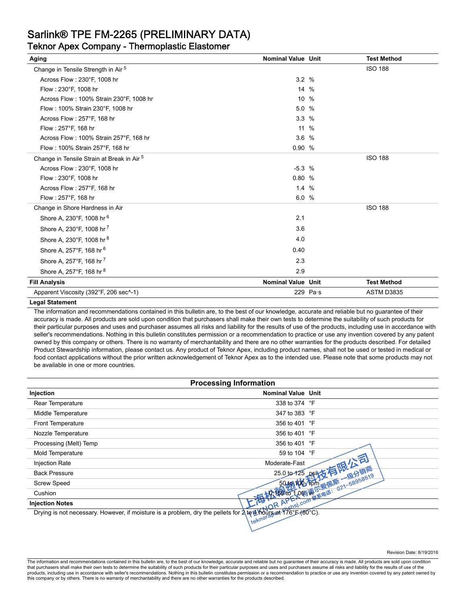# Sarlink® TPE FM-2265 (PRELIMINARY DATA)

# Teknor Apex Company - Thermoplastic Elastomer

| Aging                                                 | <b>Nominal Value Unit</b> |            | <b>Test Method</b> |
|-------------------------------------------------------|---------------------------|------------|--------------------|
| Change in Tensile Strength in Air <sup>5</sup>        |                           |            | <b>ISO 188</b>     |
| Across Flow: 230°F, 1008 hr                           | 3.2%                      |            |                    |
| Flow: 230°F, 1008 hr                                  | 14 %                      |            |                    |
| Across Flow: 100% Strain 230°F, 1008 hr               | 10 %                      |            |                    |
| Flow: 100% Strain 230°F, 1008 hr                      | 5.0 %                     |            |                    |
| Across Flow: 257°F, 168 hr                            | 3.3%                      |            |                    |
| Flow: 257°F, 168 hr                                   | 11 %                      |            |                    |
| Across Flow: 100% Strain 257°F, 168 hr                | 3.6%                      |            |                    |
| Flow: 100% Strain 257°F, 168 hr                       | 0.90%                     |            |                    |
| Change in Tensile Strain at Break in Air <sup>5</sup> |                           |            | <b>ISO 188</b>     |
| Across Flow: 230°F, 1008 hr                           | $-5.3%$                   |            |                    |
| Flow: 230°F, 1008 hr                                  | 0.80%                     |            |                    |
| Across Flow: 257°F, 168 hr                            | 1.4%                      |            |                    |
| Flow: 257°F, 168 hr                                   | 6.0%                      |            |                    |
| Change in Shore Hardness in Air                       |                           |            | <b>ISO 188</b>     |
| Shore A, 230°F, 1008 hr 6                             | 2.1                       |            |                    |
| Shore A, 230°F, 1008 hr <sup>7</sup>                  | 3.6                       |            |                    |
| Shore A, 230°F, 1008 hr 8                             | 4.0                       |            |                    |
| Shore A, 257°F, 168 hr 6                              | 0.40                      |            |                    |
| Shore A, 257°F, 168 hr <sup>7</sup>                   | 2.3                       |            |                    |
| Shore A, 257°F, 168 hr 8                              | 2.9                       |            |                    |
| <b>Fill Analysis</b>                                  | <b>Nominal Value Unit</b> |            | <b>Test Method</b> |
| Apparent Viscosity (392°F, 206 sec <sup>^</sup> -1)   |                           | 229 $Pa·s$ | ASTM D3835         |

#### **Legal Statement**

The information and recommendations contained in this bulletin are, to the best of our knowledge, accurate and reliable but no guarantee of their accuracy is made. All products are sold upon condition that purchasers shall make their own tests to determine the suitability of such products for their particular purposes and uses and purchaser assumes all risks and liability for the results of use of the products, including use in accordance with seller's recommendations. Nothing in this bulletin constitutes permission or a recommendation to practice or use any invention covered by any patent owned by this company or others. There is no warranty of merchantability and there are no other warranties for the products described. For detailed Product Stewardship information, please contact us. Any product of Teknor Apex, including product names, shall not be used or tested in medical or food contact applications without the prior written acknowledgement of Teknor Apex as to the intended use. Please note that some products may not be available in one or more countries.

| <b>Processing Information</b> |                               |  |
|-------------------------------|-------------------------------|--|
| Injection                     | <b>Nominal Value Unit</b>     |  |
| Rear Temperature              | 338 to 374 °F                 |  |
| Middle Temperature            | 347 to 383 °F                 |  |
| Front Temperature             | 356 to 401 °F                 |  |
| Nozzle Temperature            | 356 to 401 °F                 |  |
| Processing (Melt) Temp        | 356 to 401 °F                 |  |
| Mold Temperature              | 59 to 104 °F                  |  |
| <b>Injection Rate</b>         | Moderate-Fast                 |  |
| <b>Back Pressure</b>          |                               |  |
| <b>Screw Speed</b>            |                               |  |
| Cushion                       | - 接触后 Look 游尔美国 (1945年6月519日) |  |
| <b>Injection Notes</b>        | shel.com<br>OR APE            |  |
| $\frac{1}{2}$                 |                               |  |

Drying is not necessary. However, if moisture is a problem, dry the pellets for  $\lambda$  to  $\mu$  hours at 176°F (80°C).

The information and recommendations contained in this bulletin are, to the best of our knowledge, accurate and reliable but no guarantee of their accuracy is made. All products are sold upon condition that purchasers shall make their own tests to determine the suitability of such products for their particular purposes and uses and purchasers assume all risks and liability for the results of use of the<br>products, includin this company or by others. There is no warranty of merchantability and there are no other warranties for the products described.

Revision Date: 8/19/2016